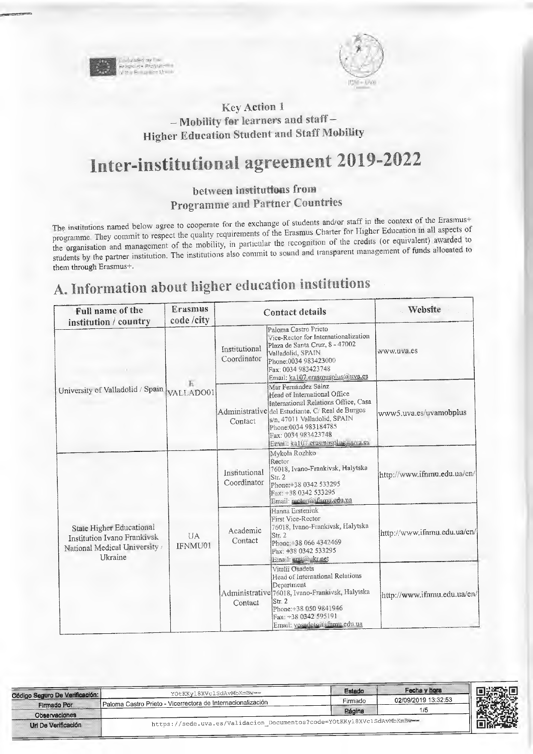

Pass Live

### **Key Action 1** - Mobility for learners and staff-**Higher Education Student and Staff Mobility**

# Inter-institutional agreement 2019-2022

### between institutions from **Programme and Partner Countries**

The institutions named below agree to cooperate for the exchange of students and/or staff in the context of the Erasmus+ programme. They commit to respect the quality requirements of the Erasmus Charter for Higher Education in all aspects of the organisation and management of the mobility, in particular the recognition of the credits (or equivalent) awarded to students by the partner institution. The institutions also commit to sound and transparent management of funds allocated to them through Erasmus+.

## A. Information about higher education institutions

| Full name of the<br>institution / country                                                                 | <b>Erasmus</b><br>code/city |                              | <b>Contact details</b>                                                                                                                                                                                                                                            | Website                     |
|-----------------------------------------------------------------------------------------------------------|-----------------------------|------------------------------|-------------------------------------------------------------------------------------------------------------------------------------------------------------------------------------------------------------------------------------------------------------------|-----------------------------|
|                                                                                                           |                             | Institutional<br>Coordinator | Paloma Castro Prieto<br>Vice-Rector for Internationalization<br>Plaza de Santa Cruz, 8 - 47002<br>Valladolid, SPAIN<br>Phone:0034 983423000<br>Fax: 0034 983423748<br>Email: ka107.erasmusplus@uva.es                                                             | www.uva.es                  |
| University of Valladolid / Spain VALLADO01                                                                | Е                           | Contact                      | Mar Fernandez Sainz<br>Head of International Office<br>International Relations Office, Casa<br>Administrative del Estudiante. C/ Real de Burgos<br>s/n, 47011 Valladolid, SPAIN<br>Phone:0034 983184785<br>Fax: 0034 983423748<br>Email: ka107.erasmusplus@wwa.es | www5.uva.es/uvamobplus      |
|                                                                                                           |                             | Institutional<br>Coordinator | Mykoła Rozhko<br>Rector<br>76018, Ivano-Frankivsk, Halytska<br>Str. 2<br>Phone: +38 0342 533295<br>Fax: +38 0342 533295<br>Email: rector@ifnmu.edu.ua                                                                                                             | http://www.ifnmu.edu.ua/en/ |
| State Higher Educational<br>Institution Ivano Frankivsk<br>National Medical University<br><b>H</b> kraine | <b>IJA</b><br>IFNMU01       | Academic<br>Contact          | Hanna Ersteniuk<br>First Vice-Rector<br>76018, Ivano-Frankivsk, Halytska<br>Str. 2<br>Phone: +38 066 4342469<br>Fax: +38 0342 533295<br>Email: erst@ukr.net                                                                                                       | http://www.ifnmu.edu.ua/en/ |
|                                                                                                           |                             | Contact                      | Vitalii Osadets<br>Head of International Relations<br>Department<br>Administrative 76018, Ivano-Frankivsk, Halytska<br>Str. 2<br>Phone: +38 050 9841946<br>Fax: +38 0342 595191<br>Email: vosadets@ifmmu.edu.ua                                                   | http://www.ifnmu.edu.ua/en/ |

| Código Seguro De Verificación: | YOtKKyl8XVclSdAvMbKmBw ==                                               | Estado  | Fecha y hora        |  |
|--------------------------------|-------------------------------------------------------------------------|---------|---------------------|--|
| Firmado Por                    | Paloma Castro Prieto - Vicerrectora de Internacionalización             | Firmado | 02/09/2019 13:32:53 |  |
| <b>Observaciones</b>           |                                                                         | Página  | 1/5                 |  |
| Uri De Verificación            | https://sede.uva.es/Validacion Documentos?code=YOtKKy18XVc1SdAvMbKmBw== |         |                     |  |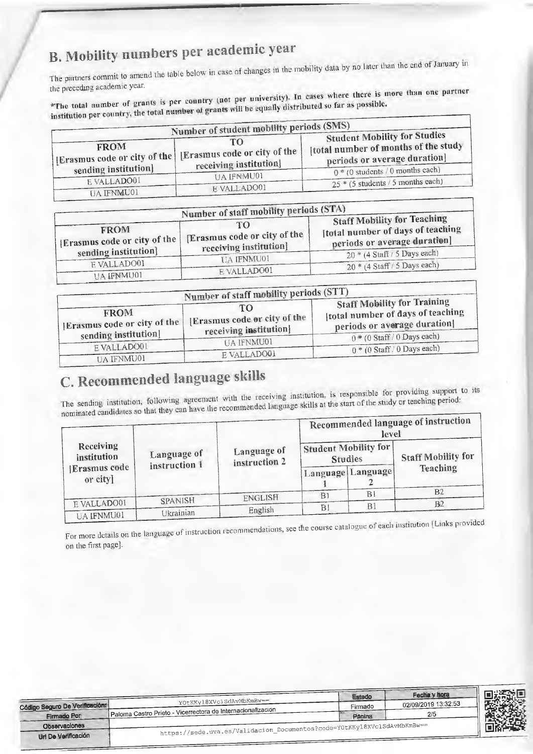# B. Mobility numbers per academic year

The partners commit to amend the table below in case of changes in the mobility data by no later than the end of January in the preceding academic year.

\*The total number of grants is per country (not per university). In cases where there is more than one partner institution per country, the total number of grants will be equally distributed so far as possible.

|                                  | Number of student mobility periods (SMS)                                                     | <b>Student Mobility for Studies</b>                                  |
|----------------------------------|----------------------------------------------------------------------------------------------|----------------------------------------------------------------------|
| <b>FROM</b>                      | TO<br>[Erasmus code or city of the   [Erasmus code or city of the  <br>receiving institution | [total number of months of the study<br>periods or average duration] |
| sending institution              | UA IFNMU01                                                                                   | $\boxed{0*(0 \text{ students } / 0 \text{ months each})}$            |
| E VALLADO01<br><b>UA IFNMU01</b> | E VALLADO01                                                                                  | $25 * (5 students / 5 months each)$                                  |

|                                               | Number of staff mobility periods (STA)      |                                                                                                         |
|-----------------------------------------------|---------------------------------------------|---------------------------------------------------------------------------------------------------------|
| <b>FROM</b><br>'[Erasmus code or city of the] | TO<br>[Erasmus code or city of the 1]       | <b>Staff Mobility for Teaching</b><br>Itotal number of days of teaching<br>periods or average duration] |
| sending institution]                          | receiving institution]<br><b>UA IFNMU01</b> | $20*(4 \text{ Staff} / 5 \text{ Days each})$                                                            |
| EVALLADO01                                    | E VALLADO01                                 | $20*(4 \text{ Staff}/5 \text{ Days each})$                                                              |
| <b>TIA IRNMIJ01</b>                           |                                             |                                                                                                         |

|                                             | Number of staff mobility periods (STT)                       |                                                                                                       |
|---------------------------------------------|--------------------------------------------------------------|-------------------------------------------------------------------------------------------------------|
| <b>FROM</b><br>[Erasmus code or city of the | TO.<br>[Erasmus code or city of the<br>receiving institution | <b>Staff Mobility for Training</b><br>total number of days of teaching<br>periods or average duration |
| sending institution                         |                                                              | $\sqrt{0 * (0 \text{ Staff} / 0)}$ Days each)                                                         |
| EVALLADO01                                  | UA IFNMU01                                                   | $0*(0 \text{ Staff} \cup 0 \text{ Days each})$                                                        |
| <b>FLA TENIMI 101</b>                       | E VALLADO01                                                  |                                                                                                       |

## C. Recommended language skills

The sending institution, following agreement with the receiving institution, is responsible for providing support to its nominated candidates so that they can have the recommended language skills at the start of the study or teaching period:

|                                 |                              |                              |                                        | level | Recommended language of instruction |
|---------------------------------|------------------------------|------------------------------|----------------------------------------|-------|-------------------------------------|
| <b>Receiving</b><br>institution | Language of<br>instruction 1 | Language of<br>instruction 2 | Student Mobility for<br><b>Studies</b> |       | <b>Staff Mobility for</b>           |
| [Erasmus code]<br>or city]      |                              |                              | Language Language                      |       | <b>Teaching</b>                     |
|                                 |                              | <b>ENGLISH</b>               | B1                                     | BI    | - B2                                |
| E VALLADO01                     | SPANISH                      |                              | B <sub>1</sub>                         | R     | B2                                  |
| <b>ITA IFNMUO1</b>              | Ukrainian                    | English                      |                                        |       |                                     |

For more details on the language of instruction recommendations, see the course catalogue of each institution [Links provided on the first page].

|                                |                                                                         |         | THE PROJECTION      |  |
|--------------------------------|-------------------------------------------------------------------------|---------|---------------------|--|
|                                |                                                                         | Estado  | Fecha y hora        |  |
| Código Seguro De Verificación: | YOtKKyl8XVclSdAvMbKmBw==                                                | Firmado | 02/09/2019 13:32:53 |  |
| Firmado Por                    | Paloma Castro Prieto - Vicerrectora de Internacionalización             | Página  | 2/5                 |  |
| Observaciones                  | https://sede.uva.es/Validacion_Documentos?code=Y0tKKyl8XVc1SdAvMbKmBw== |         |                     |  |
| Url De Verificación            |                                                                         |         |                     |  |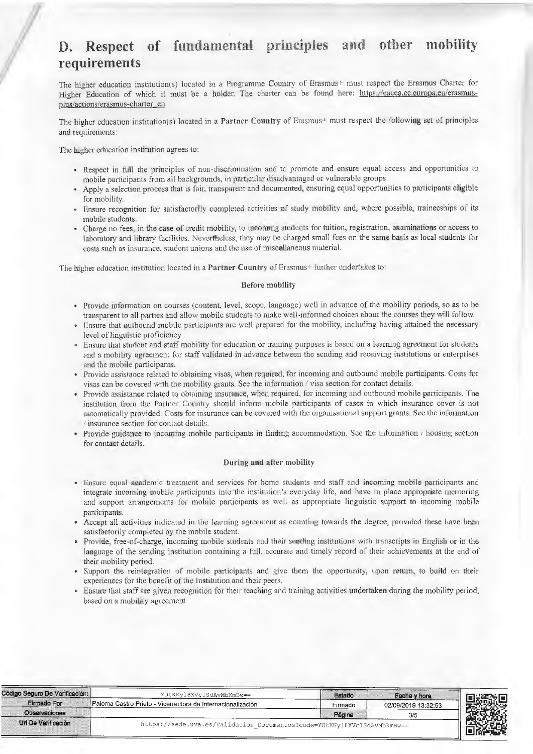### D. **Respect** of fimdamental principles and other mobility **requirements**

The higher education institution(s) located in a Programme Country of Erasmus h must respect the Erasmus Charter for Higher Education of which it must be a holder. The charter can be found here: https://eacea.ec.europa.eu/erasmusplus/actions/erasmus-charter en

The higher education institution(s) located in a Partner Country of Erasmus+ must respect the following set of principles and requirements:

The higher education institution agrees to:

- Respect in full the principles of non-discrimination and to promote and ensure equal access and opportunities to mobile participants from all backgrounds, in particular disadvantaged or vulnerable groups.
- Apply a selection process that is fair, transparent and documented, ensuring equal opportunities to participants eligible for mobility.
- Ensure recognition for satisfactorily completed activities of study mobility and, where possible, traineeships of its mobile students.
- Charge no fees, in the case of credit mobility, to incoming students for tuition, registration, examinations or access to laboratory and library facilities. Nevertheless, they may be charged small fees on the same basis as local students for costs such as insurance, student unions and the use of miscellaneous material.

The higher education institution located in a Partner Country of Erasmus<sup>+</sup> further undertakes to:

#### Before mobility

- Provide information on courses (content, level, scope, language) well in advance of the mobility periods, so as to be transparent to all parties and allow mobile students to make well-informed choices about the courses they will follow.
- Ensure that outbound mobile participants are well prepared for the mobility, including having attained the necessary level of linguistic proficiency.
- Ensure that student and staff mobility for education or training purposes is based on a learning agreement for students and a mobility agreement for staff validated in advance between the sending and receiving institutions or enterprises. and the mobile participants.
- Provide assistance related to obtaining visas, when required, for incoming and outbound mobile participants. Costs for visas can be covered with the mobility grants. See the information / visa section for contact details.
- Provide assistance related to obtaining insurance, when required, for incoming and outbound mobile participants. The institution from the Partner Country should inform mobile participants of cases in which insurance cover is not automatically provided. Costs for insurance can be covered with the organisational support grants. Sec the information insurance section for contact details,
- Provide-guidance to incoming mobile participants in finding accommodation. See the information  $\ell$  housing section for contact details.

#### .During and after mobility

- Ensure equal academic treatment and services for home students and staff and incoming mobile participants and integrate inooming mobile participants into the institution's everyday life, and have in place appropriate mentoring and support arrangements for mobile participants as well as appropriate linguistic support to incoming mobile participants.
- Accept all activities indicated in the learning agreement as counting towards the degree, provided these have been satisfactorily completed by the mobile student.
- Provide, free-of-charge, incoming mobile students and their sending institutions with transcripts in English or in the language of the sending institution containing a full, accurate and timely record of their achievements at the end of their mobility period.
- Support the reintegration of mobile participants and give them the opportunity, upon return, to build on their experiences for the benefit of the Institution and their peers.
- Ensure that staff are given recognition for their teaching and training activities undertaken during the mobility period, based on a mobility agreement.

| Código Seguro De Verificación: | YOtKKyl8XVclSdAvMbKmBw==                                                | Estado  | Fecha y hora        |         |
|--------------------------------|-------------------------------------------------------------------------|---------|---------------------|---------|
| <b>Firmado Por</b>             | Paioma Castro Prieto - Vicerrectora de Internacionalización             | ∙irmado | 02/09/2019 13:32:53 |         |
| Observaciones                  |                                                                         | Página  |                     |         |
| Url De Verificación            | https://sede.uva.es/Validacion Documentos?code=Y0tKKyl8XVc1SdAvMbKmBw== |         |                     | Senegal |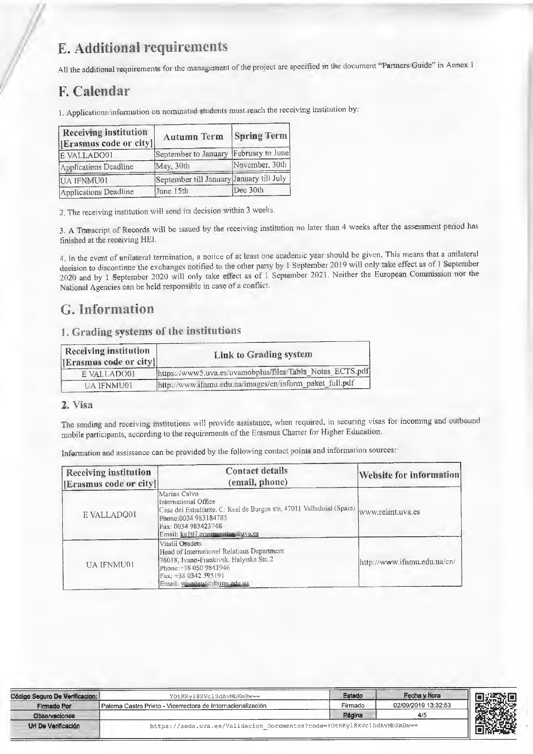## E. Additional requirements

All the additional requirements for the management of the project are specified m the document "Partners: Guide" in Annex 1

### F. Calendar

1. Applications/information on nominated students must reach the receiving institution by.

| <b>Receiving institution</b><br>[Erasmus code or city]] | Autumn Term                              | <b>Spring Term</b> |
|---------------------------------------------------------|------------------------------------------|--------------------|
| E VALLADO01                                             | September to January February to June    |                    |
| Applications Deadline                                   | May, 30th                                | November, 30th     |
| UA IFNMU01                                              | September till January January till July |                    |
| Applications Deadline                                   | June 15th                                | Dec 30th           |

2, The receiving institution will send its decision within 3 weeks.

3. A Transcript of Records will be issued by the receiving institution no later than 4 weeks after the assessment period has finished at the receiving HEI.

4 in the event of unilateral termination, a notice of at least one academic year should be given. This means that a unilateral decision to discontinue the exchanges notified to the other party by I September 2019 will only take effect as of 1 September 2020 and by 1 September 2020 will only take effect as of 1 September 2021. Neither the European Commission nor the National Agencies can be held responsible in case of a conflict.

### G. Information

### 1. Grading systems of the institutions

| <b>Receiving institution</b><br>[Erasmus code or city]] | Link to Grading system                                    |
|---------------------------------------------------------|-----------------------------------------------------------|
| E VALLADO01                                             | https://www5.nva.es/uvamobplus/files/Tabla Notas ECTS.pdf |
| UA IFNMU01                                              | http://www.ifnmu.edu.ua/images/en/inform_paket_full.pdf   |

#### **2, Visa**

The sending and receiving mstitutions will provide assistance, when required, in securing visas for incommg and outbound mobile participants, according to the requirements of the Erasmus Charter for Higher Education.

Infomiation and assistance can be provided by the following contact points and information sources.

| <b>Receiving institution</b><br>[Erasmus code or city]] | <b>Contact details</b><br>(email, phone)                                                                                                                                                          | Website for information     |
|---------------------------------------------------------|---------------------------------------------------------------------------------------------------------------------------------------------------------------------------------------------------|-----------------------------|
| E VALLADO01                                             | Marian Calvo-<br>International Office<br>Casa del Estudiante. C. Real de Burgos s/n, 47011 Valladolid (Spain)<br>Phone: 0034 983184785<br>Fax: 0034 983423748<br>Email: ka107.erasmusplus.auva.es | www.relint.uva.es           |
| <b>UA IFNMU01</b>                                       | Vitalii Osadets<br>Head of International Relations Department<br>76018, Ivano-Frankıvsk, Halytska Str. 2<br>Phone: +38 050 9841946<br>Fax: +38 0342 595191<br>Email: vosadets@ifnmu.edu.ua        | http://www.ifnmu.edu.ua/en/ |

| Código Seguro De Verificacion: | YOtKKy18XVc1SdAvMbKmBw ==                                               | Estado  | Fecha y hora        |        |
|--------------------------------|-------------------------------------------------------------------------|---------|---------------------|--------|
| Firmado Por                    | Paloma Castro Prieto - Vicerrectora de Internacionalizacion             | Firmado | 02/09/2019 13:32:53 |        |
| Observaciones                  |                                                                         | Página  |                     |        |
| Url De Verificación            | https://sede.uva.es/Validacion Documentos?code=YOtKKyl8XVc1SdAvMbKmBw== |         |                     | PASSES |